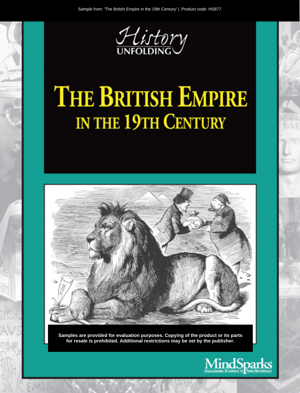

# **THE BRITISH EMPIRE** IN THE 19TH CENTURY



Samples are provided for evaluation purposes. Copying of the product or its parts for resale is prohibited. Additional restrictions may be set by the publisher.

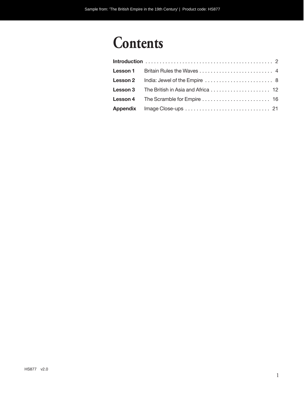# **Contents**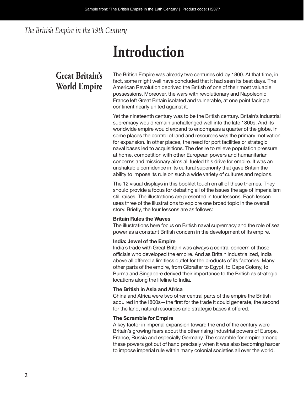*The British Empire in the 19th Century*

# **Introduction**

# **Great Britain's World Empire**

The British Empire was already two centuries old by 1800. At that time, in fact, some might well have concluded that it had seen its best days. The American Revolution deprived the British of one of their most valuable possessions. Moreover, the wars with revolutionary and Napoleonic France left Great Britain isolated and vulnerable, at one point facing a continent nearly united against it.

Yet the nineteenth century was to be the British century. Britain's industrial supremacy would remain unchallenged well into the late 1800s. And its worldwide empire would expand to encompass a quarter of the globe. In some places the control of land and resources was the primary motivation for expansion. In other places, the need for port facilities or strategic naval bases led to acquisitions. The desire to relieve population pressure at home, competition with other European powers and humanitarian concerns and missionary aims all fueled this drive for empire. It was an unshakable confidence in its cultural superiority that gave Britain the ability to impose its rule on such a wide variety of cultures and regions.

The 12 visual displays in this booklet touch on all of these themes. They should provide a focus for debating all of the issues the age of imperialism still raises. The illustrations are presented in four lessons. Each lesson uses three of the illustrations to explore one broad topic in the overall story. Briefly, the four lessons are as follows:

### **Britain Rules the Waves**

The illustrations here focus on British naval supremacy and the role of sea power as a constant British concern in the development of its empire.

### **India: Jewel of the Empire**

India's trade with Great Britain was always a central concern of those officials who developed the empire. And as Britain industrialized, India above all offered a limitless outlet for the products of its factories. Many other parts of the empire, from Gibraltar to Egypt, to Cape Colony, to Burma and Singapore derived their importance to the British as strategic locations along the lifeline to India.

### **The British in Asia and Africa**

China and Africa were two other central parts of the empire the British acquired in the1800s—the first for the trade it could generate, the second for the land, natural resources and strategic bases it offered.

### **The Scramble for Empire**

A key factor in imperial expansion toward the end of the century were Britain's growing fears about the other rising industrial powers of Europe, France, Russia and especially Germany. The scramble for empire among these powers got out of hand precisely when it was also becoming harder to impose imperial rule within many colonial societies all over the world.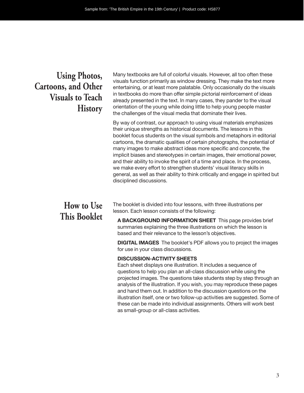# **Using Photos, Cartoons, and Other Visuals to Teach History**

Many textbooks are full of colorful visuals. However, all too often these visuals function primarily as window dressing. They make the text more entertaining, or at least more palatable. Only occasionally do the visuals in textbooks do more than offer simple pictorial reinforcement of ideas already presented in the text. In many cases, they pander to the visual orientation of the young while doing little to help young people master the challenges of the visual media that dominate their lives.

By way of contrast, our approach to using visual materials emphasizes their unique strengths as historical documents. The lessons in this booklet focus students on the visual symbols and metaphors in editorial cartoons, the dramatic qualities of certain photographs, the potential of many images to make abstract ideas more specific and concrete, the implicit biases and stereotypes in certain images, their emotional power, and their ability to invoke the spirit of a time and place. In the process, we make every effort to strengthen students' visual literacy skills in general, as well as their ability to think critically and engage in spirited but disciplined discussions.

# **How to Use This Booklet**

The booklet is divided into four lessons, with three illustrations per lesson. Each lesson consists of the following:

**A BACKGROUND INFORMATION SHEET** This page provides brief summaries explaining the three illustrations on which the lesson is based and their relevance to the lesson's objectives.

**DIGITAL IMAGES** The booklet's PDF allows you to project the images for use in your class discussions.

# **DISCUSSION-ACTIVITY SHEETS**

Each sheet displays one illustration. It includes a sequence of questions to help you plan an all-class discussion while using the projected images. The questions take students step by step through an analysis of the illustration. If you wish, you may reproduce these pages and hand them out. In addition to the discussion questions on the illustration itself, one or two follow-up activities are suggested. Some of these can be made into individual assignments. Others will work best as small-group or all- class activities.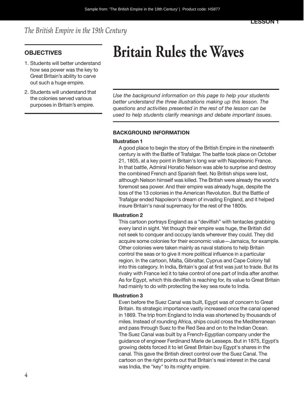# *The British Empire in the 19th Century*

- 1. Students will better understand how sea power was the key to Great Britain's ability to carve out such a huge empire.
- 2. Students will understand that the colonies served various purposes in Britain's empire.

# **OBJECTIVES Britain Rules the Waves**

*Use the background information on this page to help your students better understand the three illustrations making up this lesson. The questions and activities presented in the rest of the lesson can be used to help students clarify meanings and debate important issues.*

# **BACKGROUND INFORMATION**

#### **Illustration 1**

A good place to begin the story of the British Empire in the nineteenth century is with the Battle of Trafalgar. The battle took place on October 21, 1805, at a key point in Britain's long war with Napoleonic France. In that battle, Admiral Horatio Nelson was able to surprise and destroy the combined French and Spanish fleet. No British ships were lost, although Nelson himself was killed. The British were already the world's foremost sea power. And their empire was already huge, despite the loss of the 13 colonies in the American Revolution. But the Battle of Trafalgar ended Napoleon's dream of invading England, and it helped insure Britain's naval supremacy for the rest of the 1800s.

### **Illustration 2**

This cartoon portrays England as a "devilfish" with tentacles grabbing every land in sight. Yet though their empire was huge, the British did not seek to conquer and occupy lands wherever they could. They did acquire some colonies for their economic value—Jamaica, for example. Other colonies were taken mainly as naval stations to help Britain control the seas or to give it more political influence in a particular region. In the cartoon, Malta, Gibraltar, Cyprus and Cape Colony fall into this category. In India, Britain's goal at first was just to trade. But its rivalry with France led it to take control of one part of India after another. As for Egypt, which this devilfish is reaching for, its value to Great Britain had mainly to do with protecting the key sea route to India.

#### **Illustration 3**

Even before the Suez Canal was built, Egypt was of concern to Great Britain. Its strategic importance vastly increased once the canal opened in 1869. The trip from England to India was shortened by thousands of miles. Instead of rounding Africa, ships could cross the Mediterranean and pass through Suez to the Red Sea and on to the Indian Ocean. The Suez Canal was built by a French-Egyptian company under the guidance of engineer Ferdinand Marie de Lesseps. But in 1875, Egypt's growing debts forced it to let Great Britain buy Egypt's shares in the canal. This gave the British direct control over the Suez Canal. The cartoon on the right points out that Britain's real interest in the canal was India, the "key" to its mighty empire.